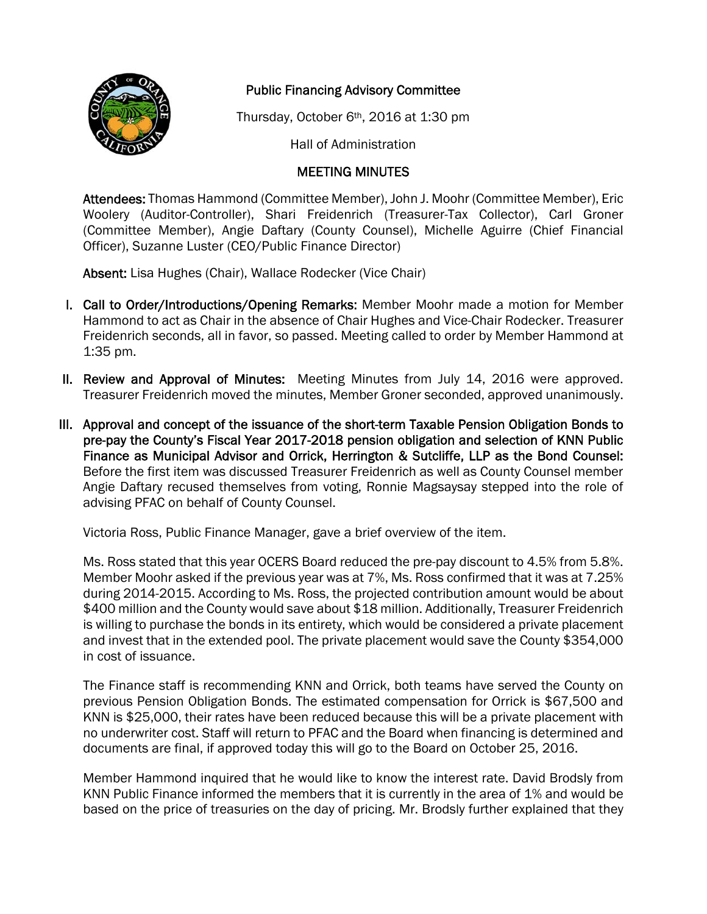

## Public Financing Advisory Committee

Thursday, October 6th, 2016 at 1:30 pm

Hall of Administration

## MEETING MINUTES

Attendees: Thomas Hammond (Committee Member), John J. Moohr (Committee Member), Eric Woolery (Auditor-Controller), Shari Freidenrich (Treasurer-Tax Collector), Carl Groner (Committee Member), Angie Daftary (County Counsel), Michelle Aguirre (Chief Financial Officer), Suzanne Luster (CEO/Public Finance Director)

Absent: Lisa Hughes (Chair), Wallace Rodecker (Vice Chair)

- I. Call to Order/Introductions/Opening Remarks: Member Moohr made a motion for Member Hammond to act as Chair in the absence of Chair Hughes and Vice-Chair Rodecker. Treasurer Freidenrich seconds, all in favor, so passed. Meeting called to order by Member Hammond at 1:35 pm.
- II. Review and Approval of Minutes: Meeting Minutes from July 14, 2016 were approved. Treasurer Freidenrich moved the minutes, Member Groner seconded, approved unanimously.
- III. Approval and concept of the issuance of the short-term Taxable Pension Obligation Bonds to pre-pay the County's Fiscal Year 2017-2018 pension obligation and selection of KNN Public Finance as Municipal Advisor and Orrick, Herrington & Sutcliffe, LLP as the Bond Counsel: Before the first item was discussed Treasurer Freidenrich as well as County Counsel member Angie Daftary recused themselves from voting, Ronnie Magsaysay stepped into the role of advising PFAC on behalf of County Counsel.

Victoria Ross, Public Finance Manager, gave a brief overview of the item.

Ms. Ross stated that this year OCERS Board reduced the pre-pay discount to 4.5% from 5.8%. Member Moohr asked if the previous year was at 7%, Ms. Ross confirmed that it was at 7.25% during 2014-2015. According to Ms. Ross, the projected contribution amount would be about \$400 million and the County would save about \$18 million. Additionally, Treasurer Freidenrich is willing to purchase the bonds in its entirety, which would be considered a private placement and invest that in the extended pool. The private placement would save the County \$354,000 in cost of issuance.

The Finance staff is recommending KNN and Orrick, both teams have served the County on previous Pension Obligation Bonds. The estimated compensation for Orrick is \$67,500 and KNN is \$25,000, their rates have been reduced because this will be a private placement with no underwriter cost. Staff will return to PFAC and the Board when financing is determined and documents are final, if approved today this will go to the Board on October 25, 2016.

Member Hammond inquired that he would like to know the interest rate. David Brodsly from KNN Public Finance informed the members that it is currently in the area of 1% and would be based on the price of treasuries on the day of pricing. Mr. Brodsly further explained that they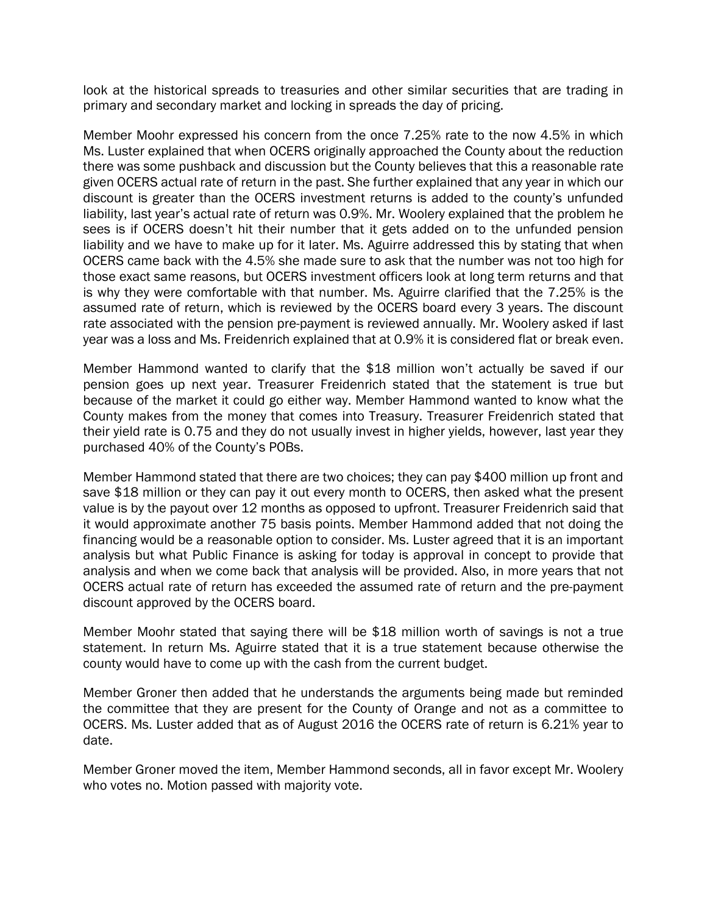look at the historical spreads to treasuries and other similar securities that are trading in primary and secondary market and locking in spreads the day of pricing.

Member Moohr expressed his concern from the once 7.25% rate to the now 4.5% in which Ms. Luster explained that when OCERS originally approached the County about the reduction there was some pushback and discussion but the County believes that this a reasonable rate given OCERS actual rate of return in the past. She further explained that any year in which our discount is greater than the OCERS investment returns is added to the county's unfunded liability, last year's actual rate of return was 0.9%. Mr. Woolery explained that the problem he sees is if OCERS doesn't hit their number that it gets added on to the unfunded pension liability and we have to make up for it later. Ms. Aguirre addressed this by stating that when OCERS came back with the 4.5% she made sure to ask that the number was not too high for those exact same reasons, but OCERS investment officers look at long term returns and that is why they were comfortable with that number. Ms. Aguirre clarified that the 7.25% is the assumed rate of return, which is reviewed by the OCERS board every 3 years. The discount rate associated with the pension pre-payment is reviewed annually. Mr. Woolery asked if last year was a loss and Ms. Freidenrich explained that at 0.9% it is considered flat or break even.

Member Hammond wanted to clarify that the \$18 million won't actually be saved if our pension goes up next year. Treasurer Freidenrich stated that the statement is true but because of the market it could go either way. Member Hammond wanted to know what the County makes from the money that comes into Treasury. Treasurer Freidenrich stated that their yield rate is 0.75 and they do not usually invest in higher yields, however, last year they purchased 40% of the County's POBs.

Member Hammond stated that there are two choices; they can pay \$400 million up front and save \$18 million or they can pay it out every month to OCERS, then asked what the present value is by the payout over 12 months as opposed to upfront. Treasurer Freidenrich said that it would approximate another 75 basis points. Member Hammond added that not doing the financing would be a reasonable option to consider. Ms. Luster agreed that it is an important analysis but what Public Finance is asking for today is approval in concept to provide that analysis and when we come back that analysis will be provided. Also, in more years that not OCERS actual rate of return has exceeded the assumed rate of return and the pre-payment discount approved by the OCERS board.

Member Moohr stated that saying there will be \$18 million worth of savings is not a true statement. In return Ms. Aguirre stated that it is a true statement because otherwise the county would have to come up with the cash from the current budget.

Member Groner then added that he understands the arguments being made but reminded the committee that they are present for the County of Orange and not as a committee to OCERS. Ms. Luster added that as of August 2016 the OCERS rate of return is 6.21% year to date.

Member Groner moved the item, Member Hammond seconds, all in favor except Mr. Woolery who votes no. Motion passed with majority vote.